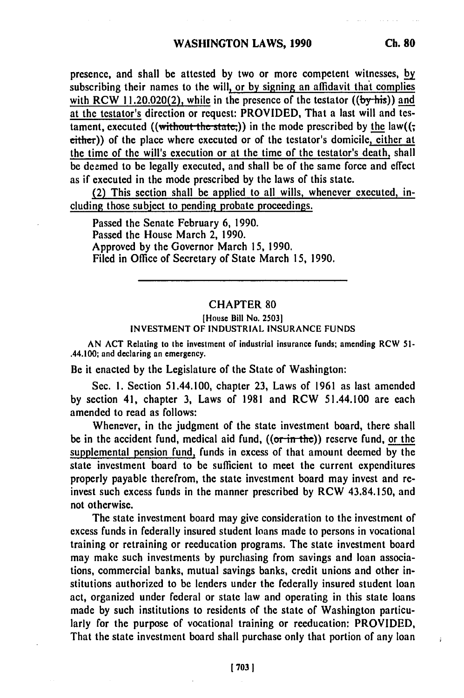presence, and shall be attested **by** two or more competent witnesses, **by** subscribing their names to the will, or **by** signing an affidavit that complies with RCW 11.20.020(2), while in the presence of the testator  $((by$ -his)) and at the testator's direction or request: PROVIDED, That a last will and testament, executed ((without the state;)) in the mode prescribed by the law((; either)) of the place where executed or of the testator's domicile, either at the time of the will's execution or at the time of the testator's death, shall be deemed to be legally executed, and shall be **of** the same force and effect as if executed in the mode prescribed **by** the laws of this state.

(2) This section shall be applied to all wills, whenever executed, including those subject to pending probate proceedings.

Passed the Senate February **6,** 1990. Passed the House March 2, 1990. Approved **by** the Governor March **15,** 1990. Filed in Office of Secretary of State March *15,* **1990.**

## CHAPTER **80**

#### [House Bill No. **25031** INVESTMENT OF INDUSTRIAL INSURANCE FUNDS

**AN ACT** Relating to the investment of industrial insurance funds; amending RCW **51-** .44.100; and declaring an emergency.

Be it enacted **by** the Legislature of the State of Washington:

Sec. **1.** Section 51.44.100, chapter **23,** Laws of **1961** as last amended **by** section 41, chapter **3,** Laws of **1981** and RCW 51.44.100 are each amended to read as follows:

Whenever, in the judgment of the state investment board, there shall be in the accident fund, medical aid fund,  $((or-in-the))$  reserve fund, or the supplemental pension fund, funds in excess of that amount deemed **by** the state investment board to be sufficient to meet the current expenditures properly payable therefrom, the state investment board may invest and reinvest such excess funds in the manner prescribed **by** RCW 43.84.150, and not otherwise.

The state investment board may give consideration to the investment of excess funds in federally insured student loans made to persons in vocational training or retraining or reeducation programs. The state investment board may make such investments **by** purchasing from savings and loan associations, commercial banks, mutual savings banks, credit unions and other institutions authorized to be lenders under the federally insured student loan act, organized under federal or state law and operating in this state loans made **by** such institutions to residents of the state of Washington particularly for the purpose of vocational training or reeducation: PROVIDED, That the state investment board shall purchase only that portion of any loan

 $\ddot{a}$